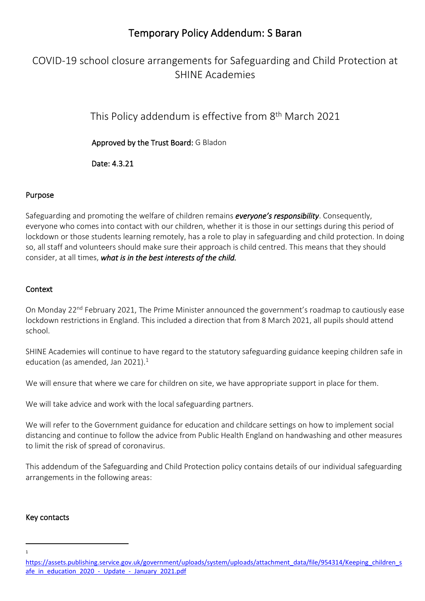# Temporary Policy Addendum: S Baran

# COVID-19 school closure arrangements for Safeguarding and Child Protection at SHINE Academies

This Policy addendum is effective from 8<sup>th</sup> March 2021

Approved by the Trust Board: G Bladon

Date: 4.3.21

## Purpose

Safeguarding and promoting the welfare of children remains *everyone's responsibility*. Consequently, everyone who comes into contact with our children, whether it is those in our settings during this period of lockdown or those students learning remotely, has a role to play in safeguarding and child protection. In doing so, all staff and volunteers should make sure their approach is child centred. This means that they should consider, at all times, *what is in the best interests of the child.* 

## **Context**

On Monday 22<sup>nd</sup> February 2021. The Prime Minister announced the government's roadmap to cautiously ease lockdown restrictions in England. This included a direction that from 8 March 2021, all pupils should attend school.

SHINE Academies will continue to have regard to the statutory safeguarding guidance keeping children safe in education (as amended, Jan 2021). $<sup>1</sup>$ </sup>

We will ensure that where we care for children on site, we have appropriate support in place for them.

We will take advice and work with the local safeguarding partners.

We will refer to the Government guidance for education and childcare settings on how to implement social distancing and continue to follow the advice from Public Health England on handwashing and other measures to limit the risk of spread of coronavirus.

This addendum of the Safeguarding and Child Protection policy contains details of our individual safeguarding arrangements in the following areas:

## Key contacts

<sup>1</sup>

[https://assets.publishing.service.gov.uk/government/uploads/system/uploads/attachment\\_data/file/954314/Keeping\\_children\\_s](https://assets.publishing.service.gov.uk/government/uploads/system/uploads/attachment_data/file/954314/Keeping_children_safe_in_education_2020_-_Update_-_January_2021.pdf) [afe\\_in\\_education\\_2020\\_-\\_Update\\_-\\_January\\_2021.pdf](https://assets.publishing.service.gov.uk/government/uploads/system/uploads/attachment_data/file/954314/Keeping_children_safe_in_education_2020_-_Update_-_January_2021.pdf)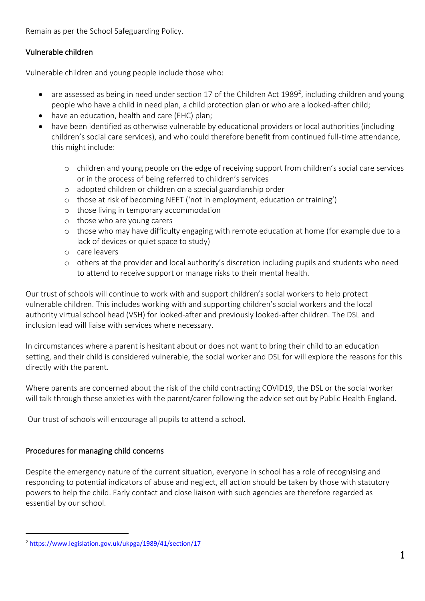Remain as per the School Safeguarding Policy.

# Vulnerable children

Vulnerable children and young people include those who:

- are assessed as being in need under section 17 of the Children Act 1989<sup>2</sup>, including children and young people who have a child in need plan, a child protection plan or who are a looked-after child;
- have an education, health and care (EHC) plan;
- have been identified as otherwise vulnerable by educational providers or local authorities (including children's social care services), and who could therefore benefit from continued full-time attendance, this might include:
	- o children and young people on the edge of receiving support from children's social care services or in the process of being referred to children's services
	- o adopted children or children on a special guardianship order
	- o those at risk of becoming NEET ('not in employment, education or training')
	- o those living in temporary accommodation
	- o those who are young carers
	- o those who may have difficulty engaging with remote education at home (for example due to a lack of devices or quiet space to study)
	- o care leavers
	- o others at the provider and local authority's discretion including pupils and students who need to attend to receive support or manage risks to their mental health.

Our trust of schools will continue to work with and support children's social workers to help protect vulnerable children. This includes working with and supporting children's social workers and the local authority virtual school head (VSH) for looked-after and previously looked-after children. The DSL and inclusion lead will liaise with services where necessary.

In circumstances where a parent is hesitant about or does not want to bring their child to an education setting, and their child is considered vulnerable, the social worker and DSL for will explore the reasons for this directly with the parent.

Where parents are concerned about the risk of the child contracting COVID19, the DSL or the social worker will talk through these anxieties with the parent/carer following the advice set out by Public Health England.

Our trust of schools will encourage all pupils to attend a school.

# Procedures for managing child concerns

Despite the emergency nature of the current situation, everyone in school has a role of recognising and responding to potential indicators of abuse and neglect, all action should be taken by those with statutory powers to help the child. Early contact and close liaison with such agencies are therefore regarded as essential by our school.

<sup>2</sup> <https://www.legislation.gov.uk/ukpga/1989/41/section/17>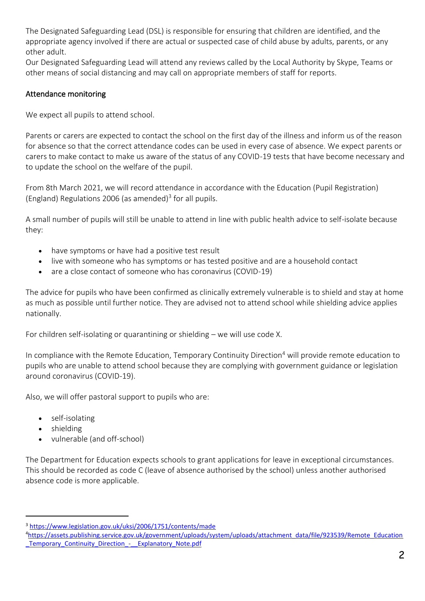The Designated Safeguarding Lead (DSL) is responsible for ensuring that children are identified, and the appropriate agency involved if there are actual or suspected case of child abuse by adults, parents, or any other adult.

Our Designated Safeguarding Lead will attend any reviews called by the Local Authority by Skype, Teams or other means of social distancing and may call on appropriate members of staff for reports.

## Attendance monitoring

We expect all pupils to attend school.

Parents or carers are expected to contact the school on the first day of the illness and inform us of the reason for absence so that the correct attendance codes can be used in every case of absence. We expect parents or carers to make contact to make us aware of the status of any COVID-19 tests that have become necessary and to update the school on the welfare of the pupil.

From 8th March 2021, we will record attendance in accordance with the Education (Pupil Registration) (England) Regulations 2006 (as amended)<sup>3</sup> for all pupils.

A small number of pupils will still be unable to attend in line with public health advice to self-isolate because they:

- have symptoms or have had a positive test result
- live with someone who has symptoms or has tested positive and are a household contact
- are a close contact of someone who has coronavirus (COVID-19)

The advice for pupils who have been confirmed as clinically extremely vulnerable is to shield and stay at home as much as possible until further notice. They are advised not to attend school while shielding advice applies nationally.

For children self-isolating or quarantining or shielding – we will use code X.

In compliance with the Remote Education, Temporary Continuity Direction<sup>4</sup> will provide remote education to pupils who are unable to attend school because they are complying with government guidance or legislation around coronavirus (COVID-19).

Also, we will offer pastoral support to pupils who are:

- self-isolating
- shielding
- vulnerable (and off-school)

The Department for Education expects schools to grant applications for leave in exceptional circumstances. This should be recorded as code C (leave of absence authorised by the school) unless another authorised absence code is more applicable.

<sup>3</sup> <https://www.legislation.gov.uk/uksi/2006/1751/contents/made>

<sup>4</sup>[https://assets.publishing.service.gov.uk/government/uploads/system/uploads/attachment\\_data/file/923539/Remote\\_Education](https://assets.publishing.service.gov.uk/government/uploads/system/uploads/attachment_data/file/923539/Remote_Education_Temporary_Continuity_Direction_-__Explanatory_Note.pdf) Temporary Continuity Direction - Explanatory Note.pdf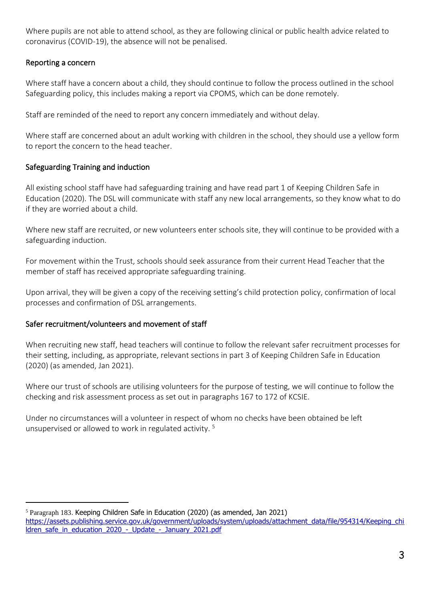Where pupils are not able to attend school, as they are following clinical or public health advice related to coronavirus (COVID-19), the absence will not be penalised.

## Reporting a concern

Where staff have a concern about a child, they should continue to follow the process outlined in the school Safeguarding policy, this includes making a report via CPOMS, which can be done remotely.

Staff are reminded of the need to report any concern immediately and without delay.

Where staff are concerned about an adult working with children in the school, they should use a yellow form to report the concern to the head teacher.

## Safeguarding Training and induction

All existing school staff have had safeguarding training and have read part 1 of Keeping Children Safe in Education (2020). The DSL will communicate with staff any new local arrangements, so they know what to do if they are worried about a child.

Where new staff are recruited, or new volunteers enter schools site, they will continue to be provided with a safeguarding induction.

For movement within the Trust, schools should seek assurance from their current Head Teacher that the member of staff has received appropriate safeguarding training.

Upon arrival, they will be given a copy of the receiving setting's child protection policy, confirmation of local processes and confirmation of DSL arrangements.

## Safer recruitment/volunteers and movement of staff

When recruiting new staff, head teachers will continue to follow the relevant safer recruitment processes for their setting, including, as appropriate, relevant sections in part 3 of Keeping Children Safe in Education (2020) (as amended, Jan 2021).

Where our trust of schools are utilising volunteers for the purpose of testing, we will continue to follow the checking and risk assessment process as set out in paragraphs 167 to 172 of KCSIE.

Under no circumstances will a volunteer in respect of whom no checks have been obtained be left unsupervised or allowed to work in regulated activity. <sup>5</sup>

<sup>5</sup> Paragraph 183. Keeping Children Safe in Education (2020) (as amended, Jan 2021) [https://assets.publishing.service.gov.uk/government/uploads/system/uploads/attachment\\_data/file/954314/Keeping\\_chi](https://assets.publishing.service.gov.uk/government/uploads/system/uploads/attachment_data/file/954314/Keeping_children_safe_in_education_2020_-_Update_-_January_2021.pdf) [ldren\\_safe\\_in\\_education\\_2020\\_-\\_Update\\_-\\_January\\_2021.pdf](https://assets.publishing.service.gov.uk/government/uploads/system/uploads/attachment_data/file/954314/Keeping_children_safe_in_education_2020_-_Update_-_January_2021.pdf)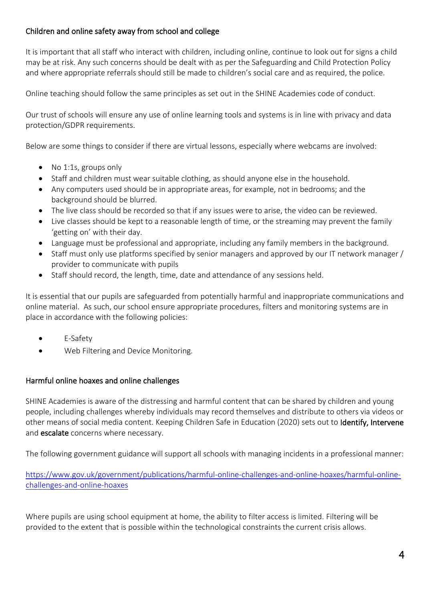# Children and online safety away from school and college

It is important that all staff who interact with children, including online, continue to look out for signs a child may be at risk. Any such concerns should be dealt with as per the Safeguarding and Child Protection Policy and where appropriate referrals should still be made to children's social care and as required, the police.

Online teaching should follow the same principles as set out in the SHINE Academies code of conduct.

Our trust of schools will ensure any use of online learning tools and systems is in line with privacy and data protection/GDPR requirements.

Below are some things to consider if there are virtual lessons, especially where webcams are involved:

- No 1:1s, groups only
- Staff and children must wear suitable clothing, as should anyone else in the household.
- Any computers used should be in appropriate areas, for example, not in bedrooms; and the background should be blurred.
- The live class should be recorded so that if any issues were to arise, the video can be reviewed.
- Live classes should be kept to a reasonable length of time, or the streaming may prevent the family 'getting on' with their day.
- Language must be professional and appropriate, including any family members in the background.
- Staff must only use platforms specified by senior managers and approved by our IT network manager / provider to communicate with pupils
- Staff should record, the length, time, date and attendance of any sessions held.

It is essential that our pupils are safeguarded from potentially harmful and inappropriate communications and online material. As such, our school ensure appropriate procedures, filters and monitoring systems are in place in accordance with the following policies:

- E-Safety
- Web Filtering and Device Monitoring.

#### Harmful online hoaxes and online challenges

SHINE Academies is aware of the distressing and harmful content that can be shared by children and young people, including challenges whereby individuals may record themselves and distribute to others via videos or other means of social media content. Keeping Children Safe in Education (2020) sets out to Identify, Intervene and **escalate** concerns where necessary.

The following government guidance will support all schools with managing incidents in a professional manner:

[https://www.gov.uk/government/publications/harmful-online-challenges-and-online-hoaxes/harmful-online](https://www.gov.uk/government/publications/harmful-online-challenges-and-online-hoaxes/harmful-online-challenges-and-online-hoaxes)[challenges-and-online-hoaxes](https://www.gov.uk/government/publications/harmful-online-challenges-and-online-hoaxes/harmful-online-challenges-and-online-hoaxes)

Where pupils are using school equipment at home, the ability to filter access is limited. Filtering will be provided to the extent that is possible within the technological constraints the current crisis allows.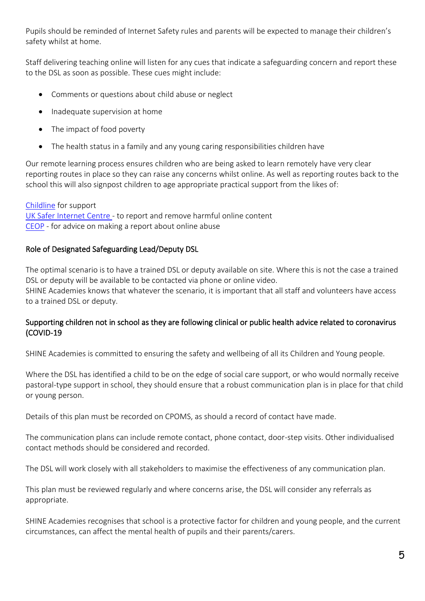Pupils should be reminded of Internet Safety rules and parents will be expected to manage their children's safety whilst at home.

Staff delivering teaching online will listen for any cues that indicate a safeguarding concern and report these to the DSL as soon as possible. These cues might include:

- Comments or questions about child abuse or neglect
- Inadequate supervision at home
- The impact of food poverty
- The health status in a family and any young caring responsibilities children have

Our remote learning process ensures children who are being asked to learn remotely have very clear reporting routes in place so they can raise any concerns whilst online. As well as reporting routes back to the school this will also signpost children to age appropriate practical support from the likes of:

[Childline](https://www.childline.org.uk/?utm_source=google&utm_medium=cpc&utm_campaign=UK_GO_S_B_BND_Grant_Childline_Information&utm_term=role_of_childline&gclsrc=aw.ds&&gclid=EAIaIQobChMIlfLRh-ez6AIVRrDtCh1N9QR2EAAYASAAEgLc-vD_BwE&gclsrc=aw.ds) for support [UK Safer Internet Centre -](https://reportharmfulcontent.com/) to report and remove harmful online content [CEOP](https://www.ceop.police.uk/safety-centre/) - for advice on making a report about online abuse

## Role of Designated Safeguarding Lead/Deputy DSL

The optimal scenario is to have a trained DSL or deputy available on site. Where this is not the case a trained DSL or deputy will be available to be contacted via phone or online video. SHINE Academies knows that whatever the scenario, it is important that all staff and volunteers have access to a trained DSL or deputy.

## Supporting children not in school as they are following clinical or public health advice related to coronavirus (COVID-19

SHINE Academies is committed to ensuring the safety and wellbeing of all its Children and Young people.

Where the DSL has identified a child to be on the edge of social care support, or who would normally receive pastoral-type support in school, they should ensure that a robust communication plan is in place for that child or young person.

Details of this plan must be recorded on CPOMS, as should a record of contact have made.

The communication plans can include remote contact, phone contact, door-step visits. Other individualised contact methods should be considered and recorded.

The DSL will work closely with all stakeholders to maximise the effectiveness of any communication plan.

This plan must be reviewed regularly and where concerns arise, the DSL will consider any referrals as appropriate.

SHINE Academies recognises that school is a protective factor for children and young people, and the current circumstances, can affect the mental health of pupils and their parents/carers.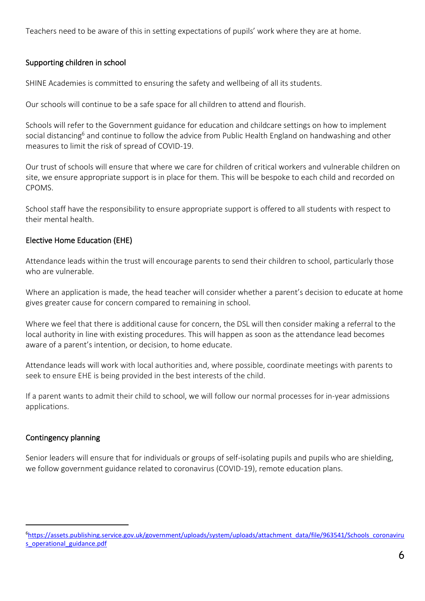Teachers need to be aware of this in setting expectations of pupils' work where they are at home.

# Supporting children in school

SHINE Academies is committed to ensuring the safety and wellbeing of all its students.

Our schools will continue to be a safe space for all children to attend and flourish.

Schools will refer to the Government guidance for education and childcare settings on how to implement social distancing<sup>6</sup> and continue to follow the advice from Public Health England on handwashing and other measures to limit the risk of spread of COVID-19.

Our trust of schools will ensure that where we care for children of critical workers and vulnerable children on site, we ensure appropriate support is in place for them. This will be bespoke to each child and recorded on CPOMS.

School staff have the responsibility to ensure appropriate support is offered to all students with respect to their mental health.

# Elective Home Education (EHE)

Attendance leads within the trust will encourage parents to send their children to school, particularly those who are vulnerable.

Where an application is made, the head teacher will consider whether a parent's decision to educate at home gives greater cause for concern compared to remaining in school.

Where we feel that there is additional cause for concern, the DSL will then consider making a referral to the local authority in line with existing procedures. This will happen as soon as the attendance lead becomes aware of a parent's intention, or decision, to home educate.

Attendance leads will work with local authorities and, where possible, coordinate meetings with parents to seek to ensure EHE is being provided in the best interests of the child.

If a parent wants to admit their child to school, we will follow our normal processes for in-year admissions applications.

## Contingency planning

Senior leaders will ensure that for individuals or groups of self-isolating pupils and pupils who are shielding, we follow government guidance related to coronavirus (COVID-19), remote education plans.

<sup>6</sup>[https://assets.publishing.service.gov.uk/government/uploads/system/uploads/attachment\\_data/file/963541/Schools\\_coronaviru](https://assets.publishing.service.gov.uk/government/uploads/system/uploads/attachment_data/file/963541/Schools_coronavirus_operational_guidance.pdf) [s\\_operational\\_guidance.pdf](https://assets.publishing.service.gov.uk/government/uploads/system/uploads/attachment_data/file/963541/Schools_coronavirus_operational_guidance.pdf)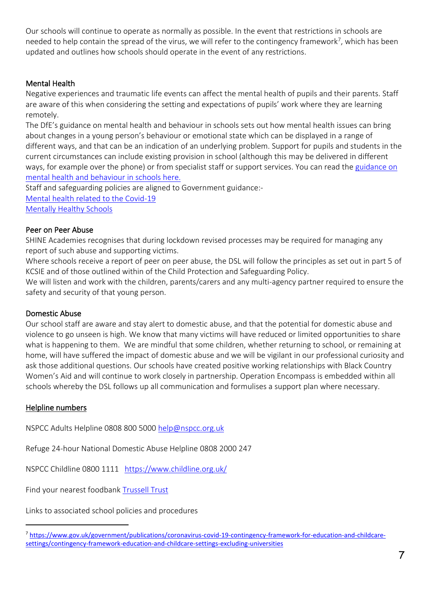Our schools will continue to operate as normally as possible. In the event that restrictions in schools are needed to help contain the spread of the virus, we will refer to the contingency framework<sup>7</sup>, which has been updated and outlines how schools should operate in the event of any restrictions.

# Mental Health

Negative experiences and traumatic life events can affect the mental health of pupils and their parents. Staff are aware of this when considering the setting and expectations of pupils' work where they are learning remotely.

The DfE's guidance on mental health and behaviour in schools sets out how mental health issues can bring about changes in a young person's behaviour or emotional state which can be displayed in a range of different ways, and that can be an indication of an underlying problem. Support for pupils and students in the current circumstances can include existing provision in school (although this may be delivered in different ways, for example over the phone) or from specialist staff or support services. You can read the guidance on [mental health and behaviour in schools here.](https://www.gov.uk/government/publications/mental-health-and-behaviour-in-schools--2)

Staff and safeguarding policies are aligned to Government guidance:- [Mental health related to the Covid-19](https://www.gov.uk/government/publications/covid-19-guidance-for-the-public-on-mental-health-and-wellbeing/guidance-for-the-public-on-the-mental-health-and-wellbeing-aspects-of-coronavirus-covid-19)  [Mentally Healthy Schools](https://www.mentallyhealthyschools.org.uk/media/1960/coronavirus-mental-health-and-wellbeing-resources.pdf?utm_source=newsletter&utm_medium=email&utm_campaign=coronavirus&utm_content=toolkit)

## Peer on Peer Abuse

SHINE Academies recognises that during lockdown revised processes may be required for managing any report of such abuse and supporting victims.

Where schools receive a report of peer on peer abuse, the DSL will follow the principles as set out in part 5 of KCSIE and of those outlined within of the Child Protection and Safeguarding Policy.

We will listen and work with the children, parents/carers and any multi-agency partner required to ensure the safety and security of that young person.

## Domestic Abuse

Our school staff are aware and stay alert to domestic abuse, and that the potential for domestic abuse and violence to go unseen is high. We know that many victims will have reduced or limited opportunities to share what is happening to them. We are mindful that some children, whether returning to school, or remaining at home, will have suffered the impact of domestic abuse and we will be vigilant in our professional curiosity and ask those additional questions. Our schools have created positive working relationships with Black Country Women's Aid and will continue to work closely in partnership. Operation Encompass is embedded within all schools whereby the DSL follows up all communication and formulises a support plan where necessary.

## Helpline numbers

NSPCC Adults Helpline 0808 800 5000 [help@nspcc.org.uk](mailto:help@nspcc.org.uk)

Refuge 24-hour National Domestic Abuse Helpline [0808 2000 247](tel:0808%202000%20247)

NSPCC Childline 0800 1111 <https://www.childline.org.uk/>

Find your nearest foodbank [Trussell Trust](https://www.trusselltrust.org/get-help/find-a-foodbank/)

Links to associated school policies and procedures

<sup>7</sup> [https://www.gov.uk/government/publications/coronavirus-covid-19-contingency-framework-for-education-and-childcare](https://www.gov.uk/government/publications/coronavirus-covid-19-contingency-framework-for-education-and-childcare-settings/contingency-framework-education-and-childcare-settings-excluding-universities)[settings/contingency-framework-education-and-childcare-settings-excluding-universities](https://www.gov.uk/government/publications/coronavirus-covid-19-contingency-framework-for-education-and-childcare-settings/contingency-framework-education-and-childcare-settings-excluding-universities)